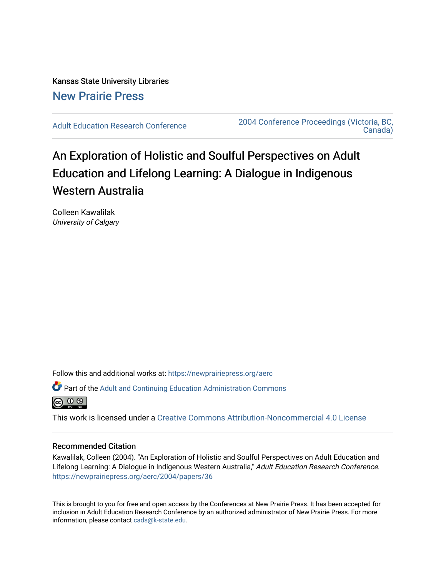Kansas State University Libraries [New Prairie Press](https://newprairiepress.org/) 

[Adult Education Research Conference](https://newprairiepress.org/aerc) [2004 Conference Proceedings \(Victoria, BC,](https://newprairiepress.org/aerc/2004)  [Canada\)](https://newprairiepress.org/aerc/2004) 

# An Exploration of Holistic and Soulful Perspectives on Adult Education and Lifelong Learning: A Dialogue in Indigenous Western Australia

Colleen Kawalilak University of Calgary

Follow this and additional works at: [https://newprairiepress.org/aerc](https://newprairiepress.org/aerc?utm_source=newprairiepress.org%2Faerc%2F2004%2Fpapers%2F36&utm_medium=PDF&utm_campaign=PDFCoverPages)

Part of the [Adult and Continuing Education Administration Commons](http://network.bepress.com/hgg/discipline/789?utm_source=newprairiepress.org%2Faerc%2F2004%2Fpapers%2F36&utm_medium=PDF&utm_campaign=PDFCoverPages)



This work is licensed under a [Creative Commons Attribution-Noncommercial 4.0 License](https://creativecommons.org/licenses/by-nc/4.0/)

#### Recommended Citation

Kawalilak, Colleen (2004). "An Exploration of Holistic and Soulful Perspectives on Adult Education and Lifelong Learning: A Dialogue in Indigenous Western Australia," Adult Education Research Conference. <https://newprairiepress.org/aerc/2004/papers/36>

This is brought to you for free and open access by the Conferences at New Prairie Press. It has been accepted for inclusion in Adult Education Research Conference by an authorized administrator of New Prairie Press. For more information, please contact [cads@k-state.edu](mailto:cads@k-state.edu).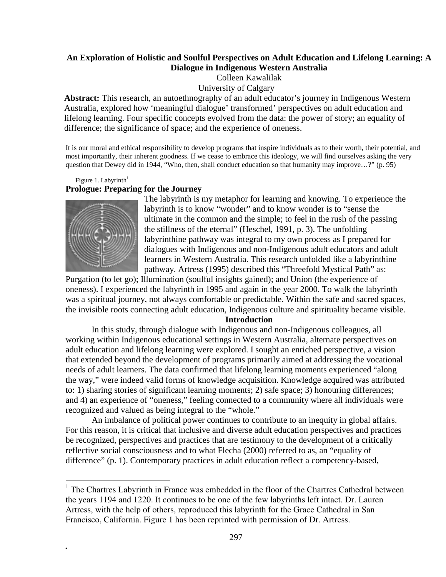# **An Exploration of Holistic and Soulful Perspectives on Adult Education and Lifelong Learning: A Dialogue in Indigenous Western Australia**

Colleen Kawalilak

# University of Calgary

**Abstract:** This research, an autoethnography of an adult educator's journey in Indigenous Western Australia, explored how 'meaningful dialogue' transformed' perspectives on adult education and lifelong learning. Four specific concepts evolved from the data: the power of story; an equality of difference; the significance of space; and the experience of oneness.

It is our moral and ethical responsibility to develop programs that inspire individuals as to their worth, their potential, and most importantly, their inherent goodness. If we cease to embrace this ideology, we will find ourselves asking the very question that Dewey did in 1944, "Who, then, shall conduct education so that humanity may improve…?" (p. 95)

#### Figure 1. Labyrinth $1$ **Prologue: Preparing for the Journey**



*.*

 $\overline{a}$ 

The labyrinth is my metaphor for learning and knowing. To experience the labyrinth is to know "wonder" and to know wonder is to "sense the ultimate in the common and the simple; to feel in the rush of the passing the stillness of the eternal" (Heschel, 1991, p. 3). The unfolding labyrinthine pathway was integral to my own process as I prepared for dialogues with Indigenous and non-Indigenous adult educators and adult learners in Western Australia. This research unfolded like a labyrinthine pathway. Artress (1995) described this "Threefold Mystical Path" as:

Purgation (to let go); Illumination (soulful insights gained); and Union (the experience of oneness). I experienced the labyrinth in 1995 and again in the year 2000. To walk the labyrinth was a spiritual journey, not always comfortable or predictable. Within the safe and sacred spaces, the invisible roots connecting adult education, Indigenous culture and spirituality became visible.

#### **Introduction**

In this study, through dialogue with Indigenous and non-Indigenous colleagues, all working within Indigenous educational settings in Western Australia, alternate perspectives on adult education and lifelong learning were explored. I sought an enriched perspective, a vision that extended beyond the development of programs primarily aimed at addressing the vocational needs of adult learners. The data confirmed that lifelong learning moments experienced "along the way," were indeed valid forms of knowledge acquisition. Knowledge acquired was attributed to: 1) sharing stories of significant learning moments; 2) safe space; 3) honouring differences; and 4) an experience of "oneness," feeling connected to a community where all individuals were recognized and valued as being integral to the "whole."

An imbalance of political power continues to contribute to an inequity in global affairs. For this reason, it is critical that inclusive and diverse adult education perspectives and practices be recognized, perspectives and practices that are testimony to the development of a critically reflective social consciousness and to what Flecha (2000) referred to as, an "equality of difference" (p. 1). Contemporary practices in adult education reflect a competency-based,

<sup>&</sup>lt;sup>1</sup> The Chartres Labyrinth in France was embedded in the floor of the Chartres Cathedral between the years 1194 and 1220. It continues to be one of the few labyrinths left intact. Dr. Lauren Artress, with the help of others, reproduced this labyrinth for the Grace Cathedral in San Francisco, California. Figure 1 has been reprinted with permission of Dr. Artress.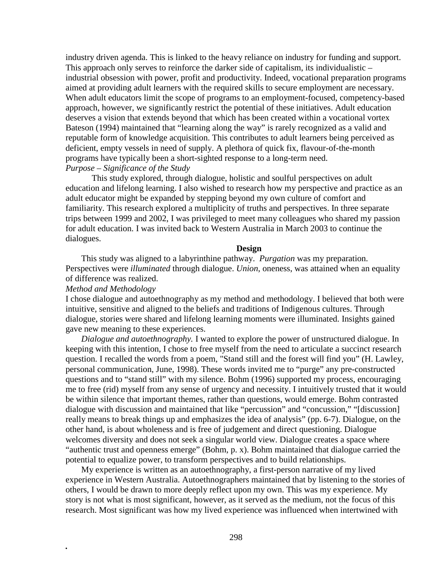industry driven agenda. This is linked to the heavy reliance on industry for funding and support. This approach only serves to reinforce the darker side of capitalism, its individualistic – industrial obsession with power, profit and productivity. Indeed, vocational preparation programs aimed at providing adult learners with the required skills to secure employment are necessary. When adult educators limit the scope of programs to an employment-focused, competency-based approach, however, we significantly restrict the potential of these initiatives. Adult education deserves a vision that extends beyond that which has been created within a vocational vortex Bateson (1994) maintained that "learning along the way" is rarely recognized as a valid and reputable form of knowledge acquisition. This contributes to adult learners being perceived as deficient, empty vessels in need of supply. A plethora of quick fix, flavour-of-the-month programs have typically been a short-sighted response to a long-term need.

# *Purpose – Significance of the Study*

This study explored, through dialogue, holistic and soulful perspectives on adult education and lifelong learning. I also wished to research how my perspective and practice as an adult educator might be expanded by stepping beyond my own culture of comfort and familiarity. This research explored a multiplicity of truths and perspectives. In three separate trips between 1999 and 2002, I was privileged to meet many colleagues who shared my passion for adult education. I was invited back to Western Australia in March 2003 to continue the dialogues.

#### **Design**

This study was aligned to a labyrinthine pathway. *Purgation* was my preparation. Perspectives were *illuminated* through dialogue. *Union*, oneness, was attained when an equality of difference was realized.

#### *Method and Methodology*

*.*

I chose dialogue and autoethnography as my method and methodology. I believed that both were intuitive, sensitive and aligned to the beliefs and traditions of Indigenous cultures. Through dialogue, stories were shared and lifelong learning moments were illuminated. Insights gained gave new meaning to these experiences.

*Dialogue and autoethnography.* I wanted to explore the power of unstructured dialogue. In keeping with this intention, I chose to free myself from the need to articulate a succinct research question. I recalled the words from a poem, "Stand still and the forest will find you" (H. Lawley, personal communication, June, 1998). These words invited me to "purge" any pre-constructed questions and to "stand still" with my silence. Bohm (1996) supported my process, encouraging me to free (rid) myself from any sense of urgency and necessity. I intuitively trusted that it would be within silence that important themes, rather than questions, would emerge. Bohm contrasted dialogue with discussion and maintained that like "percussion" and "concussion," "[discussion] really means to break things up and emphasizes the idea of analysis" (pp. 6-7). Dialogue, on the other hand, is about wholeness and is free of judgement and direct questioning. Dialogue welcomes diversity and does not seek a singular world view. Dialogue creates a space where "authentic trust and openness emerge" (Bohm, p. x). Bohm maintained that dialogue carried the potential to equalize power, to transform perspectives and to build relationships.

My experience is written as an autoethnography, a first-person narrative of my lived experience in Western Australia. Autoethnographers maintained that by listening to the stories of others, I would be drawn to more deeply reflect upon my own. This was my experience. My story is not what is most significant, however, as it served as the medium, not the focus of this research. Most significant was how my lived experience was influenced when intertwined with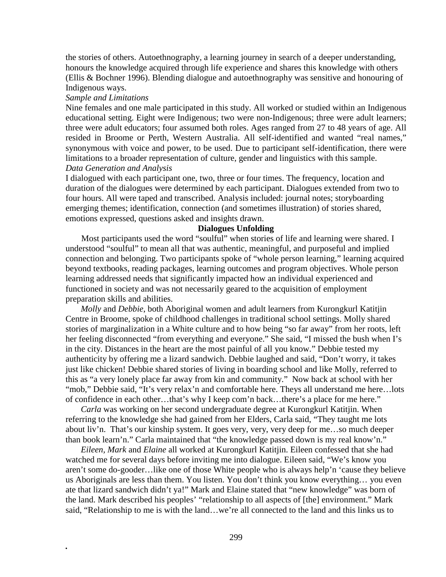the stories of others. Autoethnography, a learning journey in search of a deeper understanding, honours the knowledge acquired through life experience and shares this knowledge with others (Ellis & Bochner 1996). Blending dialogue and autoethnography was sensitive and honouring of Indigenous ways.

#### *Sample and Limitations*

*.*

Nine females and one male participated in this study. All worked or studied within an Indigenous educational setting. Eight were Indigenous; two were non-Indigenous; three were adult learners; three were adult educators; four assumed both roles. Ages ranged from 27 to 48 years of age. All resided in Broome or Perth, Western Australia. All self-identified and wanted "real names," synonymous with voice and power, to be used. Due to participant self-identification, there were limitations to a broader representation of culture, gender and linguistics with this sample. *Data Generation and Analysis*

I dialogued with each participant one, two, three or four times. The frequency, location and duration of the dialogues were determined by each participant. Dialogues extended from two to four hours. All were taped and transcribed. Analysis included: journal notes; storyboarding emerging themes; identification, connection (and sometimes illustration) of stories shared, emotions expressed, questions asked and insights drawn.

# **Dialogues Unfolding**

Most participants used the word "soulful" when stories of life and learning were shared. I understood "soulful" to mean all that was authentic, meaningful, and purposeful and implied connection and belonging. Two participants spoke of "whole person learning," learning acquired beyond textbooks, reading packages, learning outcomes and program objectives. Whole person learning addressed needs that significantly impacted how an individual experienced and functioned in society and was not necessarily geared to the acquisition of employment preparation skills and abilities.

 *Molly* and *Debbie*, both Aboriginal women and adult learners from Kurongkurl Katitjin Centre in Broome, spoke of childhood challenges in traditional school settings. Molly shared stories of marginalization in a White culture and to how being "so far away" from her roots, left her feeling disconnected "from everything and everyone." She said, "I missed the bush when I's in the city. Distances in the heart are the most painful of all you know." Debbie tested my authenticity by offering me a lizard sandwich. Debbie laughed and said, "Don't worry, it takes just like chicken! Debbie shared stories of living in boarding school and like Molly, referred to this as "a very lonely place far away from kin and community." Now back at school with her "mob," Debbie said, "It's very relax'n and comfortable here. Theys all understand me here...lots of confidence in each other…that's why I keep com'n back…there's a place for me here."

 *Carla* was working on her second undergraduate degree at Kurongkurl Katitjin. When referring to the knowledge she had gained from her Elders, Carla said, "They taught me lots about liv'n. That's our kinship system. It goes very, very, very deep for me…so much deeper than book learn'n." Carla maintained that "the knowledge passed down is my real know'n."

 *Eileen, Mark* and *Elaine* all worked at Kurongkurl Katitjin. Eileen confessed that she had watched me for several days before inviting me into dialogue. Eileen said, "We's know you aren't some do-gooder…like one of those White people who is always help'n 'cause they believe us Aboriginals are less than them. You listen. You don't think you know everything… you even ate that lizard sandwich didn't ya!" Mark and Elaine stated that "new knowledge" was born of the land. Mark described his peoples' "relationship to all aspects of [the] environment." Mark said, "Relationship to me is with the land…we're all connected to the land and this links us to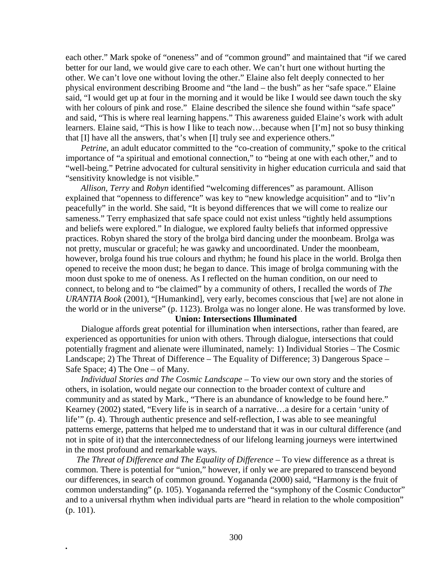each other." Mark spoke of "oneness" and of "common ground" and maintained that "if we cared better for our land, we would give care to each other. We can't hurt one without hurting the other. We can't love one without loving the other." Elaine also felt deeply connected to her physical environment describing Broome and "the land – the bush" as her "safe space." Elaine said, "I would get up at four in the morning and it would be like I would see dawn touch the sky with her colours of pink and rose." Elaine described the silence she found within "safe space" and said, "This is where real learning happens." This awareness guided Elaine's work with adult learners. Elaine said, "This is how I like to teach now…because when [I'm] not so busy thinking that [I] have all the answers, that's when [I] truly see and experience others."

*Petrine*, an adult educator committed to the "co-creation of community," spoke to the critical importance of "a spiritual and emotional connection," to "being at one with each other," and to "well-being." Petrine advocated for cultural sensitivity in higher education curricula and said that "sensitivity knowledge is not visible."

 *Allison, Terry* and *Robyn* identified "welcoming differences" as paramount. Allison explained that "openness to difference" was key to "new knowledge acquisition" and to "liv'n peacefully" in the world. She said, "It is beyond differences that we will come to realize our sameness." Terry emphasized that safe space could not exist unless "tightly held assumptions and beliefs were explored." In dialogue, we explored faulty beliefs that informed oppressive practices. Robyn shared the story of the brolga bird dancing under the moonbeam. Brolga was not pretty, muscular or graceful; he was gawky and uncoordinated. Under the moonbeam, however, brolga found his true colours and rhythm; he found his place in the world. Brolga then opened to receive the moon dust; he began to dance. This image of brolga communing with the moon dust spoke to me of oneness. As I reflected on the human condition, on our need to connect, to belong and to "be claimed" by a community of others, I recalled the words of *The URANTIA Book* (2001), "[Humankind], very early, becomes conscious that [we] are not alone in the world or in the universe" (p. 1123). Brolga was no longer alone. He was transformed by love.

#### **Union: Intersections Illuminated**

Dialogue affords great potential for illumination when intersections, rather than feared, are experienced as opportunities for union with others. Through dialogue, intersections that could potentially fragment and alienate were illuminated, namely: 1) Individual Stories – The Cosmic Landscape; 2) The Threat of Difference – The Equality of Difference; 3) Dangerous Space – Safe Space; 4) The One – of Many.

 *Individual Stories and The Cosmic Landscape –* To view our own story and the stories of others, in isolation, would negate our connection to the broader context of culture and community and as stated by Mark., "There is an abundance of knowledge to be found here." Kearney (2002) stated, "Every life is in search of a narrative…a desire for a certain 'unity of life'" (p. 4). Through authentic presence and self-reflection, I was able to see meaningful patterns emerge, patterns that helped me to understand that it was in our cultural difference (and not in spite of it) that the interconnectedness of our lifelong learning journeys were intertwined in the most profound and remarkable ways.

 *The Threat of Difference and The Equality of Difference –* To view difference as a threat is common. There is potential for "union," however, if only we are prepared to transcend beyond our differences, in search of common ground. Yogananda (2000) said, "Harmony is the fruit of common understanding" (p. 105). Yogananda referred the "symphony of the Cosmic Conductor" and to a universal rhythm when individual parts are "heard in relation to the whole composition" (p. 101).

*.*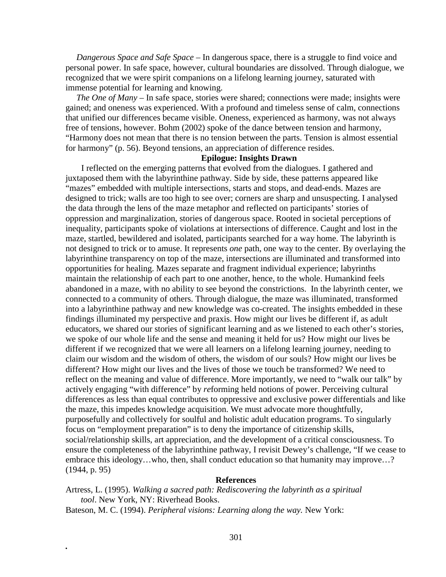*Dangerous Space and Safe Space –* In dangerous space, there is a struggle to find voice and personal power. In safe space, however, cultural boundaries are dissolved. Through dialogue, we recognized that we were spirit companions on a lifelong learning journey, saturated with immense potential for learning and knowing.

 *The One of Many –* In safe space, stories were shared; connections were made; insights were gained; and oneness was experienced. With a profound and timeless sense of calm, connections that unified our differences became visible. Oneness, experienced as harmony, was not always free of tensions, however. Bohm (2002) spoke of the dance between tension and harmony, "Harmony does not mean that there is no tension between the parts. Tension is almost essential for harmony" (p. 56). Beyond tensions, an appreciation of difference resides.

# **Epilogue: Insights Drawn**

I reflected on the emerging patterns that evolved from the dialogues. I gathered and juxtaposed them with the labyrinthine pathway. Side by side, these patterns appeared like "mazes" embedded with multiple intersections, starts and stops, and dead-ends. Mazes are designed to trick; walls are too high to see over; corners are sharp and unsuspecting. I analysed the data through the lens of the maze metaphor and reflected on participants' stories of oppression and marginalization, stories of dangerous space. Rooted in societal perceptions of inequality, participants spoke of violations at intersections of difference. Caught and lost in the maze, startled, bewildered and isolated, participants searched for a way home. The labyrinth is not designed to trick or to amuse. It represents *one* path, one way to the center. By overlaying the labyrinthine transparency on top of the maze, intersections are illuminated and transformed into opportunities for healing. Mazes separate and fragment individual experience; labyrinths maintain the relationship of each part to one another, hence, to the whole. Humankind feels abandoned in a maze, with no ability to see beyond the constrictions. In the labyrinth center, we connected to a community of others. Through dialogue, the maze was illuminated, transformed into a labyrinthine pathway and new knowledge was co-created. The insights embedded in these findings illuminated my perspective and praxis. How might our lives be different if, as adult educators, we shared our stories of significant learning and as we listened to each other's stories, we spoke of our whole life and the sense and meaning it held for us? How might our lives be different if we recognized that we were all learners on a lifelong learning journey, needing to claim our wisdom and the wisdom of others, the wisdom of our souls? How might our lives be different? How might our lives and the lives of those we touch be transformed? We need to reflect on the meaning and value of difference. More importantly, we need to "walk our talk" by actively engaging "with difference" by *re*forming held notions of power. Perceiving cultural differences as less than equal contributes to oppressive and exclusive power differentials and like the maze, this impedes knowledge acquisition. We must advocate more thoughtfully, purposefully and collectively for soulful and holistic adult education programs. To singularly focus on "employment preparation" is to deny the importance of citizenship skills, social/relationship skills, art appreciation, and the development of a critical consciousness. To ensure the completeness of the labyrinthine pathway, I revisit Dewey's challenge, "If we cease to embrace this ideology...who, then, shall conduct education so that humanity may improve...? (1944, p. 95)

# **References**

Artress, L. (1995). *Walking a sacred path: Rediscovering the labyrinth as a spiritual tool*. New York, NY: Riverhead Books.

Bateson, M. C. (1994). *Peripheral visions: Learning along the way.* New York:

*.*